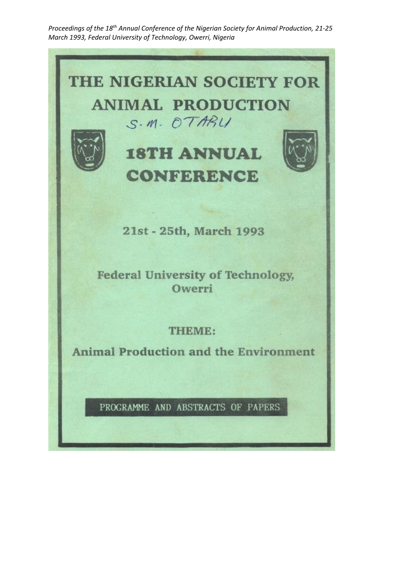Proceedings of the 18<sup>th</sup> Annual Conference of the Nigerian Society for Animal Production, 21-25 *March 1993, Federal University of Technology, Owerri, Nigeria*